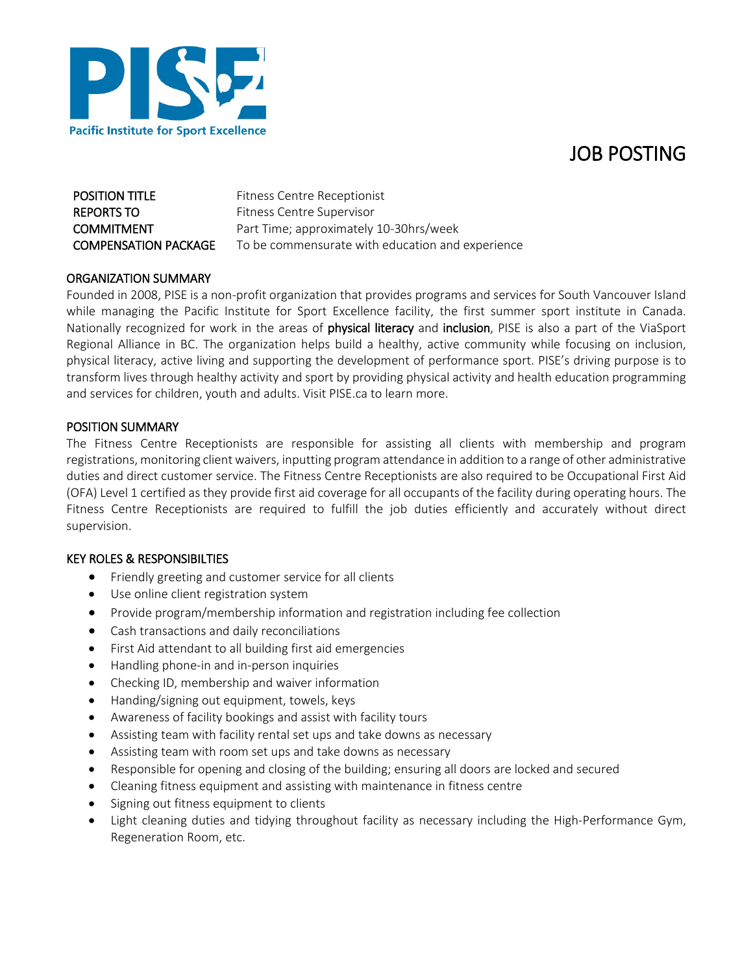



| <b>POSITION TITLE</b>       | <b>Fitness Centre Receptionist</b>               |
|-----------------------------|--------------------------------------------------|
| REPORTS TO                  | Fitness Centre Supervisor                        |
| COMMITMENT                  | Part Time; approximately 10-30hrs/week           |
| <b>COMPENSATION PACKAGE</b> | To be commensurate with education and experience |

### ORGANIZATION SUMMARY

Founded in 2008, PISE is a non-profit organization that provides programs and services for South Vancouver Island while managing the Pacific Institute for Sport Excellence facility, the first summer sport institute in Canada. Nationally recognized for work in the areas of physical literacy and inclusion, PISE is also a part of the ViaSport Regional Alliance in BC. The organization helps build a healthy, active community while focusing on inclusion, physical literacy, active living and supporting the development of performance sport. PISE's driving purpose is to transform lives through healthy activity and sport by providing physical activity and health education programming and services for children, youth and adults. Visit PISE.ca to learn more.

### POSITION SUMMARY

The Fitness Centre Receptionists are responsible for assisting all clients with membership and program registrations, monitoring client waivers, inputting program attendance in addition to a range of other administrative duties and direct customer service. The Fitness Centre Receptionists are also required to be Occupational First Aid (OFA) Level 1 certified as they provide first aid coverage for all occupants of the facility during operating hours. The Fitness Centre Receptionists are required to fulfill the job duties efficiently and accurately without direct supervision.

## KEY ROLES & RESPONSIBILTIES

- Friendly greeting and customer service for all clients
- Use online client registration system
- Provide program/membership information and registration including fee collection
- Cash transactions and daily reconciliations
- First Aid attendant to all building first aid emergencies
- Handling phone-in and in-person inquiries
- Checking ID, membership and waiver information
- Handing/signing out equipment, towels, keys
- Awareness of facility bookings and assist with facility tours
- Assisting team with facility rental set ups and take downs as necessary
- Assisting team with room set ups and take downs as necessary
- Responsible for opening and closing of the building; ensuring all doors are locked and secured
- Cleaning fitness equipment and assisting with maintenance in fitness centre
- Signing out fitness equipment to clients
- Light cleaning duties and tidying throughout facility as necessary including the High-Performance Gym, Regeneration Room, etc.